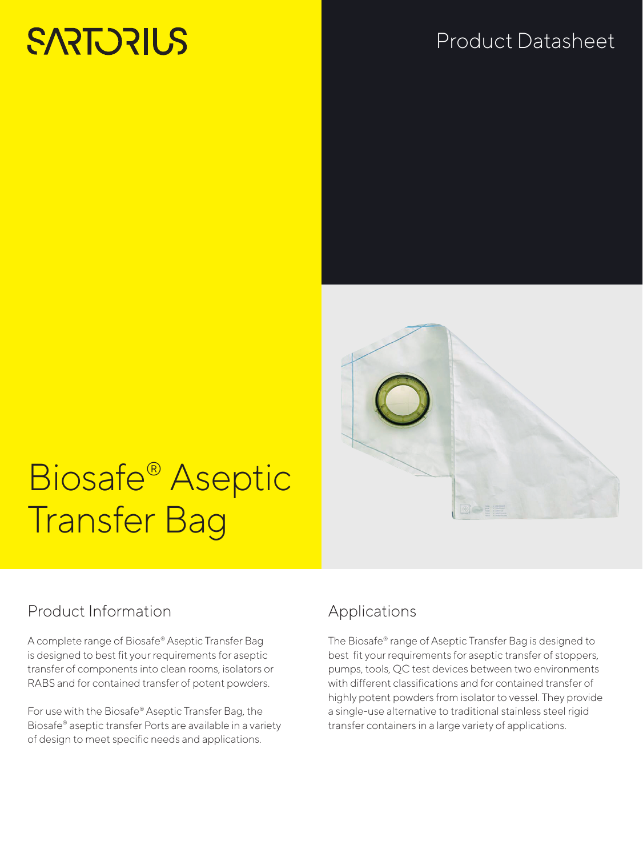# **SARTORIUS**

## Product Datasheet



# Biosafe® Aseptic Transfer Bag

### Product Information

A complete range of Biosafe® Aseptic Transfer Bag is designed to best fit your requirements for aseptic transfer of components into clean rooms, isolators or RABS and for contained transfer of potent powders.

For use with the Biosafe® Aseptic Transfer Bag, the Biosafe® aseptic transfer Ports are available in a variety of design to meet specific needs and applications.

## Applications

The Biosafe® range of Aseptic Transfer Bag is designed to best fit your requirements for aseptic transfer of stoppers, pumps, tools, QC test devices between two environments with different classifications and for contained transfer of highly potent powders from isolator to vessel. They provide a single-use alternative to traditional stainless steel rigid transfer containers in a large variety of applications.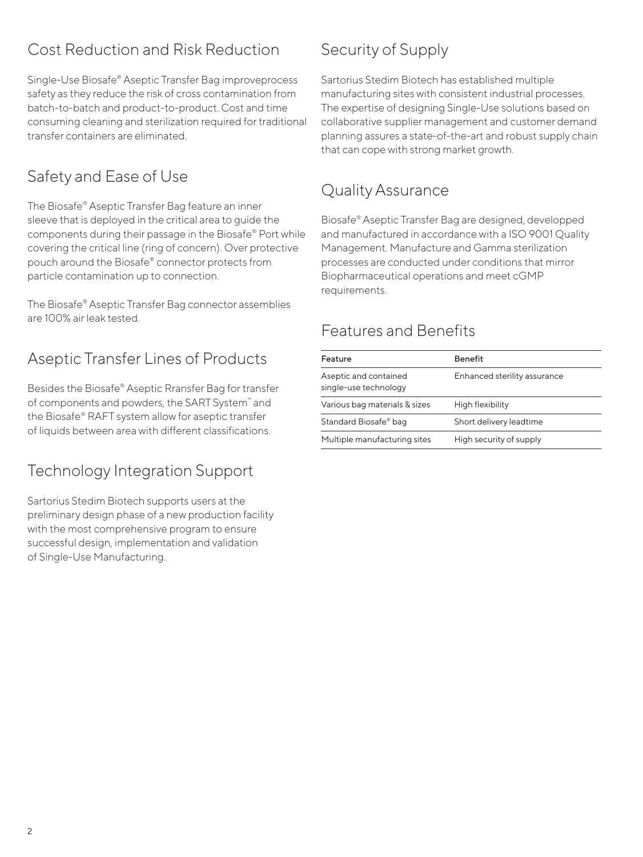## Cost Reduction and Risk Reduction

Single-Use Biosafe® Aseptic Transfer Bag improveprocess safety as they reduce the risk of cross contamination from batch-to-batch and product-to-product. Cost and time consuming cleaning and sterilization required for traditional transfer containers are eliminated.

### Safety and Ease of Use

The Biosafe® Aseptic Transfer Bag feature an inner sleeve that is deployed in the critical area to guide the components during their passage in the Biosafe® Port while covering the critical line (ring of concern). Over protective pouch around the Biosafe® connector protects from particle contamination up to connection.

The Biosafe® Aseptic Transfer Bag connector assemblies are 100% air leak tested.

## Aseptic Transfer Lines of Products

Besides the Biosafe® Aseptic Rransfer Bag for transfer of components and powders, the SART System™ and the Biosafe® RAFT system allow for aseptic transfer of liquids between area with different classifications.

#### Technology Integration Support

Sartorius Stedim Biotech supports users at the preliminary design phase of a new production facility with the most comprehensive program to ensure successful design, implementation and validation of Single-Use Manufacturing.

## Security of Supply

Sartorius Stedim Biotech has established multiple manufacturing sites with consistent industrial processes. The expertise of designing Single-Use solutions based on collaborative supplier management and customer demand planning assures a state-of-the-art and robust supply chain that can cope with strong market growth.

### Quality Assurance

Biosafe® Aseptic Transfer Bag are designed, developped and manufactured in accordance with a ISO 9001 Quality Management. Manufacture and Gamma sterilization processes are conducted under conditions that mirror Biopharmaceutical operations and meet cGMP requirements.

#### Features and Benefits

| Feature                                        | <b>Benefit</b>               |
|------------------------------------------------|------------------------------|
| Aseptic and contained<br>single-use technology | Enhanced sterility assurance |
| Various bag materials & sizes                  | High flexibility             |
| Standard Biosafe® bag                          | Short delivery leadtime      |
| Multiple manufacturing sites                   | High security of supply      |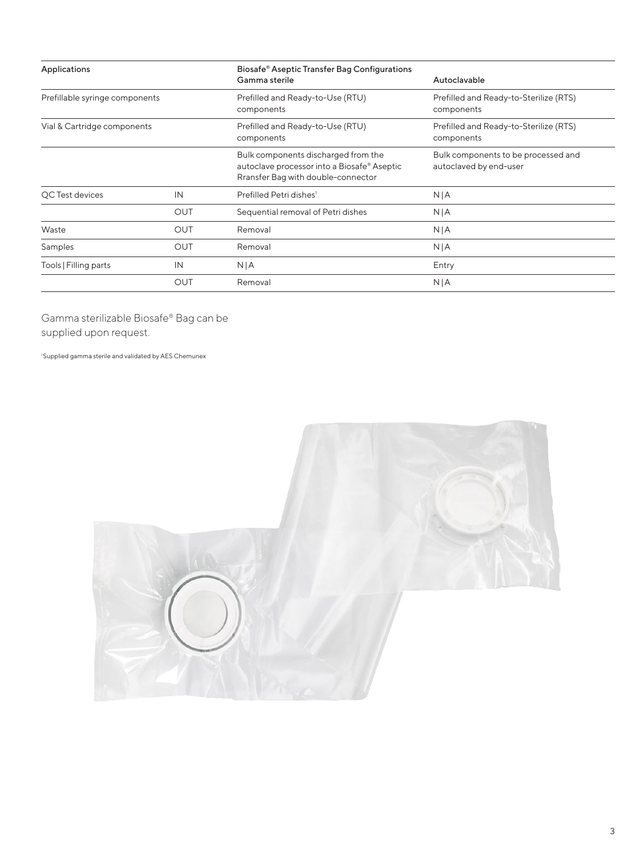| Biosafe® Aseptic Transfer Bag Configurations<br>Applications<br>Gamma sterile<br>Autoclavable<br>Prefillable syringe components<br>Prefilled and Ready-to-Use (RTU)<br>components<br>components |                                                    |                                                                                                                          |                                                               |
|-------------------------------------------------------------------------------------------------------------------------------------------------------------------------------------------------|----------------------------------------------------|--------------------------------------------------------------------------------------------------------------------------|---------------------------------------------------------------|
|                                                                                                                                                                                                 |                                                    |                                                                                                                          |                                                               |
|                                                                                                                                                                                                 |                                                    | Prefilled and Ready-to-Sterilize (RTS)                                                                                   |                                                               |
| Vial & Cartridge components                                                                                                                                                                     |                                                    | Prefilled and Ready-to-Use (RTU)<br>components                                                                           | Prefilled and Ready-to-Sterilize (RTS)<br>components          |
|                                                                                                                                                                                                 |                                                    | Bulk components discharged from the<br>autoclave processor into a Biosafe® Aseptic<br>Rransfer Bag with double-connector | Bulk components to be processed and<br>autoclaved by end-user |
| QC Test devices                                                                                                                                                                                 | IN<br>Prefilled Petri dishes <sup>1</sup><br>N   A |                                                                                                                          |                                                               |
|                                                                                                                                                                                                 | <b>OUT</b>                                         | Sequential removal of Petri dishes                                                                                       | N   A                                                         |
| Waste                                                                                                                                                                                           | <b>OUT</b>                                         | Removal                                                                                                                  | N   A                                                         |
| Samples                                                                                                                                                                                         | <b>OUT</b>                                         | Removal                                                                                                                  | N   A                                                         |
| Tools   Filling parts                                                                                                                                                                           | IN                                                 | N/A                                                                                                                      | Entry                                                         |
|                                                                                                                                                                                                 | <b>OUT</b>                                         | Removal                                                                                                                  | N   A                                                         |
|                                                                                                                                                                                                 |                                                    |                                                                                                                          |                                                               |

Gamma sterilizable Biosafe® Bag can be supplied upon request.

1 Supplied gamma sterile and validated by AES Chemunex

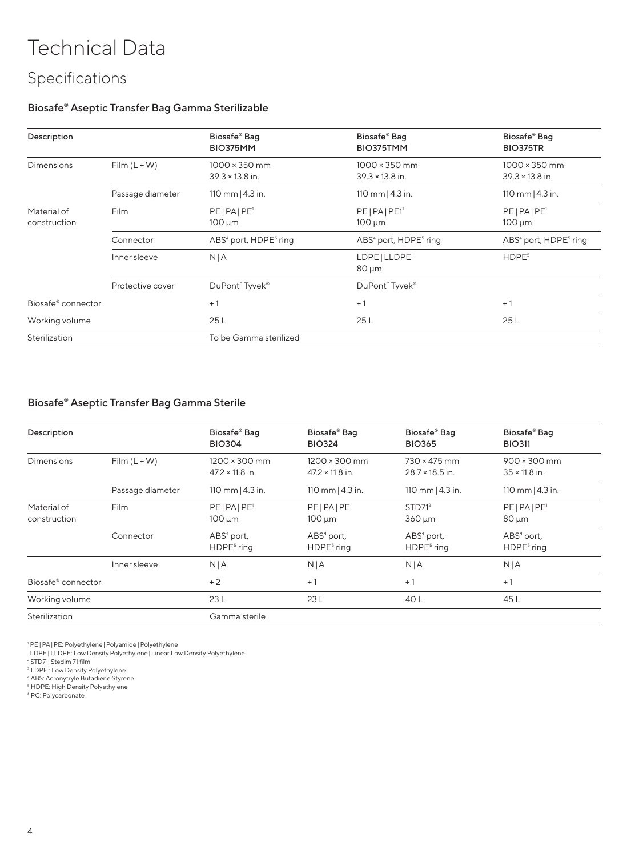## Technical Data

## Specifications

#### Biosafe® Aseptic Transfer Bag Gamma Sterilizable

| Description                 |                  | Biosafe <sup>®</sup> Bag<br>BIO375MM           | Biosafe® Bag<br>BIO375TMM                      | Biosafe® Bag<br><b>BIO375TR</b>                |
|-----------------------------|------------------|------------------------------------------------|------------------------------------------------|------------------------------------------------|
| <b>Dimensions</b>           | $Film (L + W)$   | $1000 \times 350$ mm<br>$39.3 \times 13.8$ in. | $1000 \times 350$ mm<br>$39.3 \times 13.8$ in. | $1000 \times 350$ mm<br>$39.3 \times 13.8$ in. |
|                             | Passage diameter | 110 mm $ 4.3$ in.                              | 110 mm $ 4.3$ in.                              | 110 mm $ 4.3$ in.                              |
| Material of<br>construction | Film             | PE PA PE'<br>$100 \mu m$                       | PE   PA   PE1'<br>$100 \mu m$                  | PE PA PE'<br>$100 \mu m$                       |
|                             | Connector        | ABS <sup>4</sup> port, HDPE <sup>5</sup> ring  | ABS <sup>4</sup> port, HDPE <sup>5</sup> ring  | ABS <sup>4</sup> port, HDPE <sup>5</sup> ring  |
|                             | Inner sleeve     | N/A                                            | LDPE   LLDPE <sup>1</sup><br>$80 \mu m$        | HDPE <sup>5</sup>                              |
|                             | Protective cover | DuPont" Tyvek®                                 | DuPont" Tyvek®                                 |                                                |
| Biosafe® connector          |                  | $+1$                                           | $+1$                                           | $+1$                                           |
| Working volume              |                  | 25L                                            | 25L                                            | 25 L                                           |
| Sterilization               |                  | To be Gamma sterilized                         |                                                |                                                |

#### Biosafe® Aseptic Transfer Bag Gamma Sterile

| Description                 |                  | Biosafe® Bag<br><b>BIO304</b>                  | Biosafe® Bag<br><b>BIO324</b>                  | Biosafe® Bag<br><b>BIO365</b>                 | Biosafe® Bag<br><b>BIO311</b>               |
|-----------------------------|------------------|------------------------------------------------|------------------------------------------------|-----------------------------------------------|---------------------------------------------|
| Dimensions                  | $Film (L + W)$   | $1200 \times 300$ mm<br>$47.2 \times 11.8$ in. | $1200 \times 300$ mm<br>$47.2 \times 11.8$ in. | $730 \times 475$ mm<br>$28.7 \times 18.5$ in. | $900 \times 300$ mm<br>$35 \times 11.8$ in. |
|                             | Passage diameter | 110 mm $ 4.3$ in.                              | 110 mm $ 4.3$ in.                              | 110 mm $ 4.3$ in.                             | 110 mm $ 4.3$ in.                           |
| Material of<br>construction | Film             | $PE PA PE$ <sup>1</sup><br>$100 \mu m$         | $PE PA PE$ <sup>1</sup><br>$100 \mu m$         | STD71 <sup>2</sup><br>$360 \mu m$             | $PE PA PE$ <sup>1</sup><br>$80 \mu m$       |
|                             | Connector        | $ABS4$ port,<br>HDPE <sup>5</sup> ring         | $ABS4$ port,<br>$HDPE5$ ring                   | $ABS4$ port,<br>HDPE <sup>5</sup> ring        | ABS <sup>4</sup> port,<br>$HDPE5$ ring      |
|                             | Inner sleeve     | N/A                                            | N   A                                          | N   A                                         | N   A                                       |
| Biosafe® connector          |                  | $+2$                                           | $+1$                                           | $+1$                                          | $+1$                                        |
| Working volume              |                  | 23L                                            | 23L                                            | 40 L                                          | 45 L                                        |
| Sterilization               |                  | Gamma sterile                                  |                                                |                                               |                                             |

' PE|PA|PE: Polyethylene|Polyamide|Polyethylene<br>LDPE|LLDPE: Low Density Polyethylene|Linear Low Density Polyethylene<br><sup>2</sup>STD7!: Stedim 71 film<br><sup>3</sup>LDPE : Low Density Polyethylene<br><sup>4</sup> ABS: Acronytyle Butadiene Styrene<br><sup>6</sup> HDP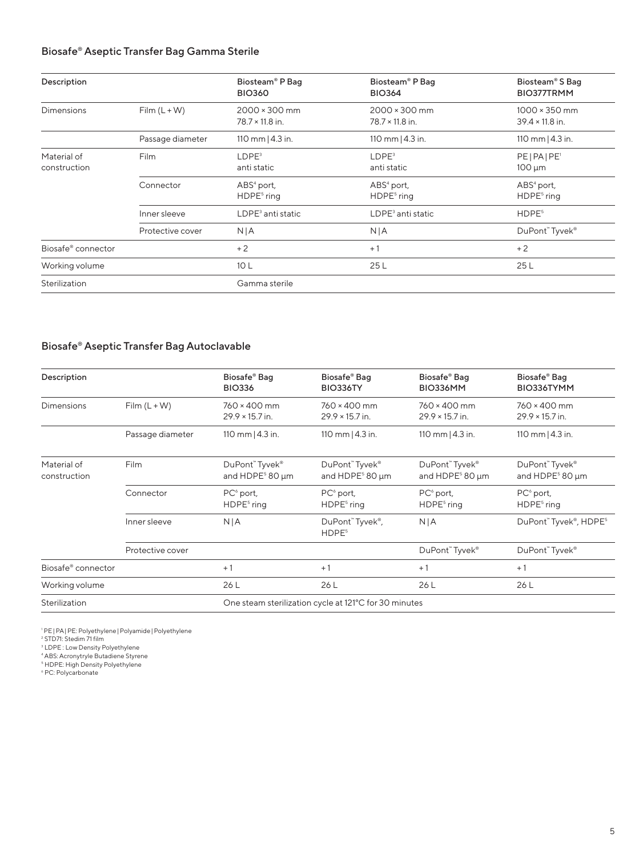#### Biosafe® Aseptic Transfer Bag Gamma Sterile

| Description                 |                  | Biosteam <sup>®</sup> P Bag<br><b>BIO360</b>   | Biosteam <sup>®</sup> P Bag<br><b>BIO364</b>   | Biosteam <sup>®</sup> S Bag<br>BIO377TRMM      |
|-----------------------------|------------------|------------------------------------------------|------------------------------------------------|------------------------------------------------|
| <b>Dimensions</b>           | $Film (L + W)$   | $2000 \times 300$ mm<br>$78.7 \times 11.8$ in. | $2000 \times 300$ mm<br>$78.7 \times 11.8$ in. | $1000 \times 350$ mm<br>$39.4 \times 11.8$ in. |
|                             | Passage diameter | 110 mm $ 4.3$ in.                              | 110 mm $ 4.3$ in.                              | 110 mm $ 4.3$ in.                              |
| Material of<br>construction | Film             | LDPE <sup>3</sup><br>anti static               | $L$ DPE $3$<br>anti static                     | PE PA PE'<br>$100 \mu m$                       |
|                             | Connector        | $ABS4$ port,<br>HDPE <sup>5</sup> ring         | $ABS4$ port,<br>HDPE <sup>5</sup> ring         | $ABS4$ port,<br>HDPE <sup>5</sup> ring         |
|                             | Inner sleeve     | LDPE <sup>3</sup> anti static                  | $LDPE3$ anti static                            | HDPE <sup>5</sup>                              |
|                             | Protective cover | N   A                                          | N   A                                          | DuPont™ Tyvek®                                 |
| Biosafe® connector          |                  | $+2$                                           | $+1$                                           | $+2$                                           |
| Working volume              |                  | 10 <sub>L</sub>                                | 25L                                            | 25 L                                           |
| Sterilization               |                  | Gamma sterile                                  |                                                |                                                |

#### Biosafe® Aseptic Transfer Bag Autoclavable

| Description                 |                  | Biosafe® Bag<br><b>BIO336</b>                   | Biosafe® Bag<br>BIO336TY                              | Biosafe® Bag<br>BIO336MM                        | Biosafe® Bag<br>BIO336TYMM                      |
|-----------------------------|------------------|-------------------------------------------------|-------------------------------------------------------|-------------------------------------------------|-------------------------------------------------|
| Dimensions                  | $Film (L + W)$   | 760 × 400 mm<br>$29.9 \times 15.7$ in.          | 760 × 400 mm<br>$29.9 \times 15.7$ in.                | $760 \times 400$ mm<br>$29.9 \times 15.7$ in.   | $760 \times 400$ mm<br>$29.9 \times 15.7$ in.   |
|                             | Passage diameter | 110 mm   4.3 in.                                | 110 mm $ 4.3$ in.                                     | 110 mm $ 4.3$ in.                               | 110 mm $ 4.3$ in.                               |
| Material of<br>construction | Film             | DuPont" Tyvek®<br>and HDPE <sup>5</sup> 80 µm   | DuPont" Tyvek®<br>and HDPE <sup>5</sup> 80 µm         | DuPont" Tyvek®<br>and HDPE <sup>5</sup> 80 µm   | DuPont" Tyvek®<br>and HDPE <sup>5</sup> 80 µm   |
|                             | Connector        | PC <sup>6</sup> port,<br>HDPE <sup>5</sup> ring | PC <sup>6</sup> port,<br>HDPE <sup>5</sup> ring       | PC <sup>6</sup> port,<br>HDPE <sup>5</sup> ring | PC <sup>6</sup> port,<br>HDPE <sup>5</sup> ring |
|                             | Inner sleeve     | N/A                                             | DuPont" Tyvek®,<br>HDPE <sup>5</sup>                  | N/A                                             | DuPont" Tyvek®, HDPE5                           |
|                             | Protective cover |                                                 |                                                       | DuPont" Tyvek®                                  | DuPont" Tyvek®                                  |
| Biosafe® connector          |                  | $+1$                                            | $+1$                                                  | $+1$                                            | $+1$                                            |
| Working volume              |                  | 26 L                                            | 26 L                                                  | 26 L                                            | 26 L                                            |
| Sterilization               |                  |                                                 | One steam sterilization cycle at 121°C for 30 minutes |                                                 |                                                 |

<sup>1</sup> PE|PA|PE: Polyethylene|Polyamide|Polyethylene<br><sup>2</sup> STD71: Stedim 71 film<br><sup>3</sup> LDPE : Low Density Polyethylene<br><sup>4</sup> ABS: Acronytryle Butadiene Styrene<br><sup>5</sup> HDPE: High Density Polyethylene<br><sup>6</sup> PC: Polycarbonate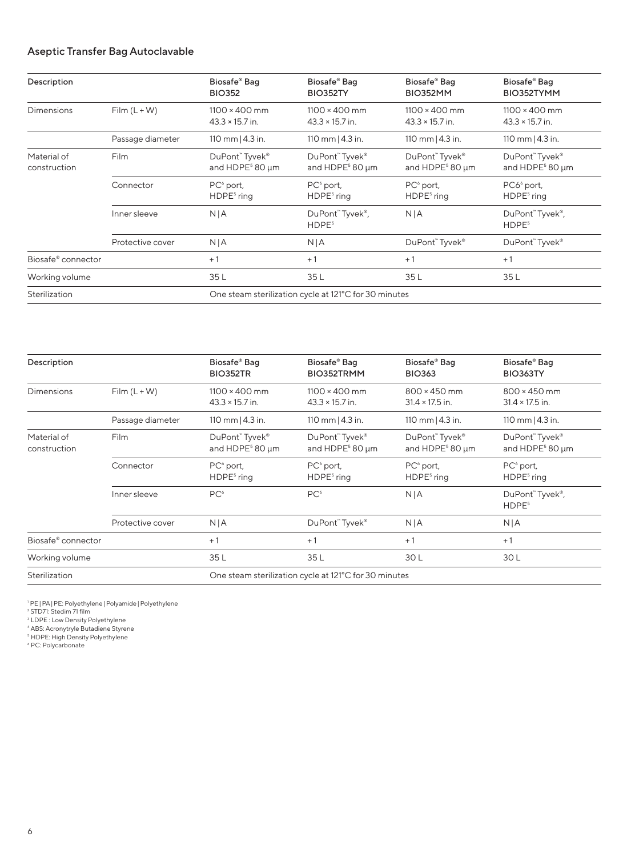#### Aseptic Transfer Bag Autoclavable

| Description                 |                  | Biosafe <sup>®</sup> Bag<br><b>BIO352</b>      | Biosafe® Bag<br><b>BIO352TY</b>                       | Biosafe® Bag<br>BIO352MM                       | Biosafe® Bag<br>BIO352TYMM                     |
|-----------------------------|------------------|------------------------------------------------|-------------------------------------------------------|------------------------------------------------|------------------------------------------------|
| <b>Dimensions</b>           | $Film (L + W)$   | $1100 \times 400$ mm<br>$43.3 \times 15.7$ in. | $1100 \times 400$ mm<br>$43.3 \times 15.7$ in.        | $1100 \times 400$ mm<br>$43.3 \times 15.7$ in. | $1100 \times 400$ mm<br>$43.3 \times 15.7$ in. |
|                             | Passage diameter | 110 mm   4.3 in.                               | 110 mm   4.3 in.                                      | 110 mm   4.3 in.                               | 110 mm   4.3 in.                               |
| Material of<br>construction | Film             | DuPont" Tyvek®<br>and HDPE <sup>5</sup> 80 µm  | DuPont" Tyvek®<br>and HDPE <sup>5</sup> 80 µm         | DuPont" Tyvek®<br>and HDPE <sup>5</sup> 80 µm  | DuPont" Tyvek®<br>and HDPE <sup>5</sup> 80 µm  |
|                             | Connector        | $PC6$ port,<br>HDPE <sup>5</sup> ring          | $PC^{\circ}$ port,<br>HDPE <sup>5</sup> ring          | $PC6$ port,<br>HDPE <sup>5</sup> ring          | PC6 <sup>6</sup> port,<br>$HDPE5$ ring         |
|                             | Inner sleeve     | N/A                                            | DuPont" Tyvek®,<br>HDPE <sup>5</sup>                  | N/A                                            | DuPont" Tyvek®,<br>HDPE <sup>5</sup>           |
|                             | Protective cover | N/A                                            | N/A                                                   | DuPont" Tyvek®                                 | DuPont" Tyvek®                                 |
| Biosafe® connector          |                  | $+1$                                           | $+1$                                                  | $+1$                                           | $+1$                                           |
| Working volume              |                  | 35L                                            | 35L                                                   | 35L                                            | 35L                                            |
| Sterilization               |                  |                                                | One steam sterilization cycle at 121°C for 30 minutes |                                                |                                                |

| Description                 |                  | Biosafe® Bag<br><b>BIO352TR</b>                                       | Biosafe® Bag<br>BIO352TRMM                            | Biosafe® Bag<br><b>BIO363</b>                 | Biosafe® Bag<br><b>BIO363TY</b>               |
|-----------------------------|------------------|-----------------------------------------------------------------------|-------------------------------------------------------|-----------------------------------------------|-----------------------------------------------|
| <b>Dimensions</b>           | $Film (L + W)$   | $1100 \times 400$ mm<br>$43.3 \times 15.7$ in.                        | $1100 \times 400$ mm<br>$43.3 \times 15.7$ in.        | 800 × 450 mm<br>$31.4 \times 17.5$ in.        | 800 × 450 mm<br>$31.4 \times 17.5$ in.        |
|                             | Passage diameter | 110 mm   4.3 in.                                                      | 110 mm   4.3 in.                                      | 110 mm   4.3 in.                              | 110 mm   4.3 in.                              |
| Material of<br>construction | Film             | DuPont <sup>"</sup> Tyvek <sup>®</sup><br>and HDPE <sup>5</sup> 80 µm | DuPont" Tyvek®<br>and HDPE <sup>5</sup> 80 µm         | DuPont" Tyvek®<br>and HDPE <sup>5</sup> 80 µm | DuPont" Tyvek®<br>and HDPE <sup>5</sup> 80 µm |
|                             | Connector        | $PC6$ port,<br>HDPE <sup>5</sup> ring                                 | $PC6$ port,<br>HDPE <sup>5</sup> ring                 | $PC6$ port,<br>HDPE <sup>5</sup> ring         | $PC6$ port,<br>HDPE <sup>5</sup> ring         |
|                             | Inner sleeve     | PC <sup>6</sup>                                                       | PC <sup>6</sup>                                       | N/A                                           | DuPont" Tyvek®,<br>HDPE <sup>5</sup>          |
|                             | Protective cover | N/A                                                                   | DuPont" Tyvek®                                        | N/A                                           | N/A                                           |
| Biosafe® connector          |                  | $+1$                                                                  | $+1$                                                  | $+1$                                          | $+1$                                          |
| Working volume              |                  | 35L                                                                   | 35L                                                   | 30 L                                          | 30 L                                          |
| Sterilization               |                  |                                                                       | One steam sterilization cycle at 121°C for 30 minutes |                                               |                                               |

' PE|PA|PE: Polyethylene|Polyamide|Polyethylene<br><sup>2</sup> STD71: Stedim 71 film<br><sup>3</sup> LDPE : Low Density Polyethylene<br><sup>4</sup> ABS: Acronytryle Butadiene Styrene<br><sup>6</sup> HO: High Density Polyethylene<br><sup>6</sup> PC: Polycarbonate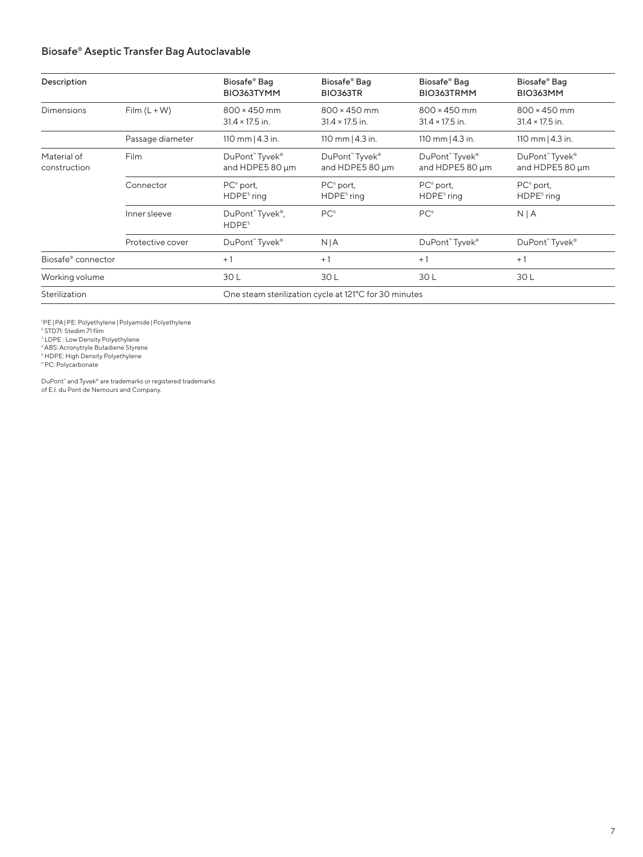#### Biosafe® Aseptic Transfer Bag Autoclavable

| Description                 |                  | Biosafe® Bag<br>BIO363TYMM                    | Biosafe <sup>®</sup> Bag<br><b>BIO363TR</b>           | Biosafe® Bag<br>BIO363TRMM                    | Biosafe® Bag<br>BIO363MM                      |
|-----------------------------|------------------|-----------------------------------------------|-------------------------------------------------------|-----------------------------------------------|-----------------------------------------------|
| <b>Dimensions</b>           | $Film (L + W)$   | $800 \times 450$ mm<br>$31.4 \times 17.5$ in. | 800 × 450 mm<br>$31.4 \times 17.5$ in.                | $800 \times 450$ mm<br>$31.4 \times 17.5$ in. | $800 \times 450$ mm<br>$31.4 \times 17.5$ in. |
|                             | Passage diameter | 110 mm   4.3 in.                              | 110 mm $ 4.3$ in.                                     | 110 mm $ 4.3$ in.                             | 110 mm   4.3 in.                              |
| Material of<br>construction | <b>Film</b>      | DuPont" Tyvek®<br>and HDPE5 80 um             | DuPont" Tyvek®<br>and HDPE5 80 µm                     | DuPont" Tyvek®<br>and HDPE5 80 µm             | DuPont" Tyvek®<br>and HDPE5 80 µm             |
|                             | Connector        | $PC6$ port,<br>HDPE <sup>5</sup> ring         | $PC^{\circ}$ port,<br>HDPE <sup>5</sup> ring          | $PC6$ port,<br>HDPE <sup>5</sup> ring         | $PC^{\circ}$ port,<br>HDPE <sup>5</sup> ring  |
|                             | Inner sleeve     | DuPont" Tyvek®,<br>HDPE <sup>5</sup>          | PC <sup>6</sup>                                       | PC <sup>6</sup>                               | N/A                                           |
|                             | Protective cover | DuPont" Tyvek®                                | N/A                                                   | DuPont" Tyvek®                                | DuPont" Tyvek®                                |
| Biosafe® connector          |                  | $+1$                                          | $+1$                                                  | $+1$                                          | $+1$                                          |
| Working volume              |                  | 30L                                           | 30 L                                                  | 30L                                           | 30L                                           |
| Sterilization               |                  |                                               | One steam sterilization cycle at 121°C for 30 minutes |                                               |                                               |

'PE | PA | PE: Polyethylene | Polyamide | Polyethylene<br><sup>2</sup> STD71: Stedim 71 film<br><sup>3</sup> LDPE : Low Density Polyethylene

4 ABS: Acronytryle Butadiene Styrene 5 HDPE: High Density Polyethylene

6 PC: Polycarbonate

DuPont™ and Tyvek® are trademarks or registered trademarks of E.I. du Pont de Nemours and Company.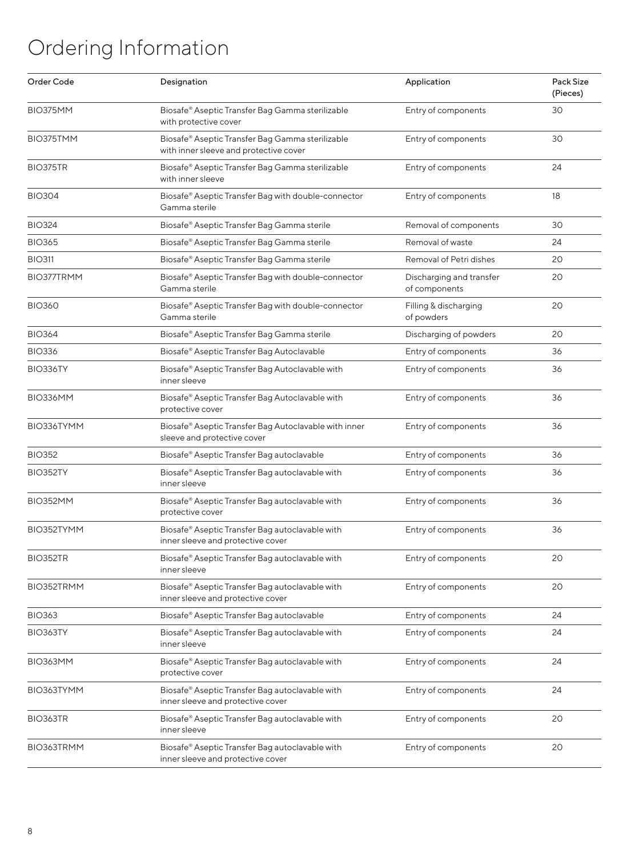# Ordering Information

| Order Code        | Designation                                                                                | Application                               | Pack Size<br>(Pieces) |
|-------------------|--------------------------------------------------------------------------------------------|-------------------------------------------|-----------------------|
| BIO375MM          | Biosafe® Aseptic Transfer Bag Gamma sterilizable<br>with protective cover                  | Entry of components                       | 30                    |
| BIO375TMM         | Biosafe® Aseptic Transfer Bag Gamma sterilizable<br>with inner sleeve and protective cover | Entry of components                       | 30                    |
| BIO375TR          | Biosafe® Aseptic Transfer Bag Gamma sterilizable<br>with inner sleeve                      | Entry of components                       | 24                    |
| <b>BIO304</b>     | Biosafe® Aseptic Transfer Bag with double-connector<br>Gamma sterile                       | Entry of components                       | 18                    |
| <b>BIO324</b>     | Biosafe® Aseptic Transfer Bag Gamma sterile                                                | Removal of components                     | 30                    |
| <b>BIO365</b>     | Biosafe® Aseptic Transfer Bag Gamma sterile                                                | Removal of waste                          | 24                    |
| <b>BIO311</b>     | Biosafe® Aseptic Transfer Bag Gamma sterile                                                | Removal of Petri dishes                   | 20                    |
| <b>BIO377TRMM</b> | Biosafe® Aseptic Transfer Bag with double-connector<br>Gamma sterile                       | Discharging and transfer<br>of components | 20                    |
| <b>BIO360</b>     | Biosafe® Aseptic Transfer Bag with double-connector<br>Gamma sterile                       | Filling & discharging<br>of powders       | 20                    |
| <b>BIO364</b>     | Biosafe® Aseptic Transfer Bag Gamma sterile                                                | Discharging of powders                    | 20                    |
| <b>BIO336</b>     | Biosafe® Aseptic Transfer Bag Autoclavable                                                 | Entry of components                       | 36                    |
| BIO336TY          | Biosafe® Aseptic Transfer Bag Autoclavable with<br>inner sleeve                            | Entry of components                       | 36                    |
| BIO336MM          | Biosafe® Aseptic Transfer Bag Autoclavable with<br>protective cover                        | Entry of components                       | 36                    |
| BIO336TYMM        | Biosafe® Aseptic Transfer Bag Autoclavable with inner<br>sleeve and protective cover       | Entry of components                       | 36                    |
| <b>BIO352</b>     | Biosafe® Aseptic Transfer Bag autoclavable                                                 | Entry of components                       | 36                    |
| BIO352TY          | Biosafe® Aseptic Transfer Bag autoclavable with<br>inner sleeve                            | Entry of components                       | 36                    |
| BIO352MM          | Biosafe® Aseptic Transfer Bag autoclavable with<br>protective cover                        | Entry of components                       | 36                    |
| BIO352TYMM        | Biosafe® Aseptic Transfer Bag autoclavable with<br>inner sleeve and protective cover       | Entry of components                       | 36                    |
| BIO352TR          | Biosafe® Aseptic Transfer Bag autoclavable with<br>inner sleeve                            | Entry of components                       | 20                    |
| BIO352TRMM        | Biosafe® Aseptic Transfer Bag autoclavable with<br>inner sleeve and protective cover       | Entry of components                       | 20                    |
| <b>BIO363</b>     | Biosafe® Aseptic Transfer Bag autoclavable                                                 | Entry of components                       | 24                    |
| BIO363TY          | Biosafe® Aseptic Transfer Bag autoclavable with<br>inner sleeve                            | Entry of components                       | 24                    |
| BIO363MM          | Biosafe® Aseptic Transfer Bag autoclavable with<br>protective cover                        | Entry of components                       | 24                    |
| BIO363TYMM        | Biosafe® Aseptic Transfer Bag autoclavable with<br>inner sleeve and protective cover       | Entry of components                       | 24                    |
| BIO363TR          | Biosafe® Aseptic Transfer Bag autoclavable with<br>inner sleeve                            | Entry of components                       | 20                    |
| BIO363TRMM        | Biosafe® Aseptic Transfer Bag autoclavable with<br>inner sleeve and protective cover       | Entry of components                       | 20                    |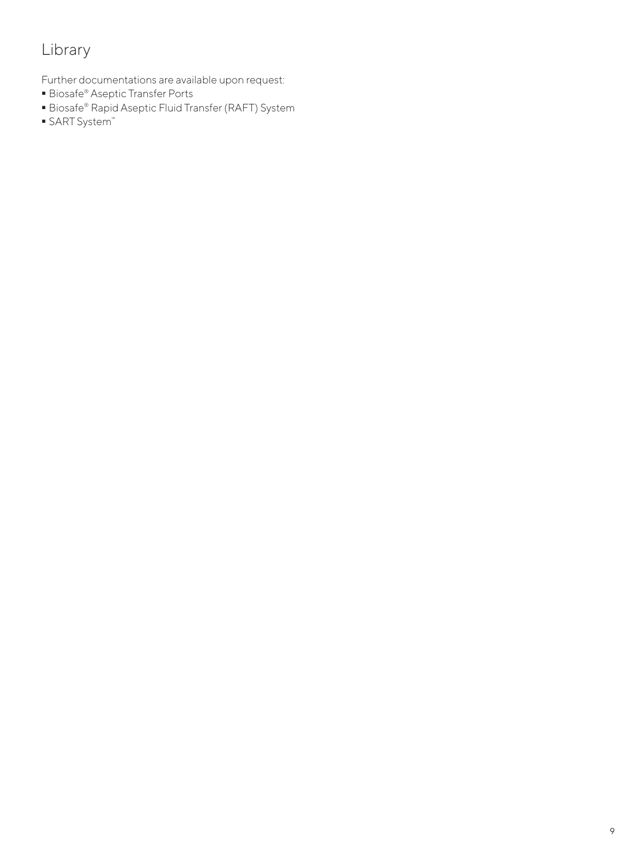## Library

Further documentations are available upon request:

- Biosafe® Aseptic Transfer Ports
- Biosafe® Rapid Aseptic Fluid Transfer (RAFT) System
- SART System™